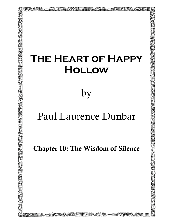## **The Heart of Happy Hollow**

は出まれ

∥深殿 / 全球出版

by

## Paul Laurence Dunbar

Chapter 10: The Wisdom of Silence

75-94000 HINHAN 29-FA - EARNHAN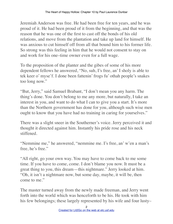Jeremiah Anderson was free. He had been free for ten years, and he was proud of it. He had been proud of it from the beginning, and that was the reason that he was one of the first to cast off the bonds of his old relations, and move from the plantation and take up land for himself. He was anxious to cut himself off from all that bound him to his former life. So strong was this feeling in him that he would not consent to stay on and work for his one–time owner even for a full wage.

To the proposition of the planter and the gibes of some of his more dependent fellows he answered, "No, suh, I's free, an' I sholy is able to tek keer o' myse'f. I done been fattenin' frogs fu' othah people's snakes too long now."

"But, Jerry," said Samuel Brabant, "I don't mean you any harm. The thing's done. You don't belong to me any more, but naturally, I take an interest in you, and want to do what I can to give you a start. It's more than the Northern government has done for you, although such wise men ought to know that you have had no training in caring for yourselves."

There was a slight sneer in the Southerner's voice. Jerry perceived it and thought it directed against him. Instantly his pride rose and his neck stiffened.

"Nemmine me," he answered, "nemmine me. I's free, an' w'en a man's free, he's free."

"All right, go your own way. You may have to come back to me some time. If you have to come, come. I don't blame you now. It must be a great thing to you, this dream—this nightmare." Jerry looked at him. "Oh, it isn't a nightmare now, but some day, maybe, it will be, then come to me."

The master turned away from the newly made freeman, and Jerry went forth into the world which was henceforth to be his. He took with him his few belongings; these largely represented by his wife and four lusty–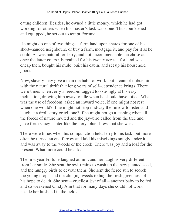eating children. Besides, he owned a little money, which he had got working for others when his master's task was done. Thus, bur'dened and equipped, he set out to tempt Fortune.

He might do one of two things—farm land upon shares for one of his short–handed neighbours, or buy a farm, mortgage it, and pay for it as he could. As was natural for Jerry, and not uncommendable, he chose at once the latter course, bargained for his twenty acres—for land was cheap then, bought his mule, built his cabin, and set up his household goods.

Now, slavery may give a man the habit of work, but it cannot imbue him with the natural thrift that long years of self–dependence brings. There were times when Jerry's freedom tugged too strongly at his easy inclination, drawing him away to idle when he should have toiled. What was the use of freedom, asked an inward voice, if one might not rest when one would? If he might not stop midway the furrow to listen and laugh at a droll story or tell one? If he might not go a–fishing when all the forces of nature invited and the jay–bird called from the tree and gave forth saucy banter like the fiery, blue shrew that she was?

There were times when his compunction held Jerry to his task, but more often he turned an end furrow and laid his misgivings snugly under it and was away to the woods or the creek. There was joy and a loaf for the present. What more could he ask?

The first year Fortune laughed at him, and her laugh is very different from her smile. She sent the swift rains to wash up the new planted seed, and the hungry birds to devour them. She sent the fierce sun to scorch the young crops, and the clinging weeds to hug the fresh greenness of his hope to death. She sent—cruellest jest of all—another baby to be fed, and so weakened Cindy Ann that for many days she could not work beside her husband in the fields.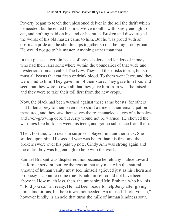Poverty began to teach the unlessoned delver in the soil the thrift which he needed; but he ended his first twelve months with barely enough to eat, and nothing paid on his land or his mule. Broken and discouraged, the words of his old master came to him. But he was proud with an obstinate pride and he shut his lips together so that he might not groan. He would not go to his master. Anything rather than that.

In that place sat certain beasts of prey, dealers, and lenders of money, who had their lairs somewhere within the boundaries of that wide and mysterious domain called The Law. They had their risks to run, but so must all beasts that eat flesh or drink blood. To them went Jerry, and they were kind to him. They gave him of their store. They gave him food and seed, but they were to own all that they gave him from what he raised, and they were to take their toll first from the new crops.

Now, the black had been warned against these same beasts, for others had fallen a prey to them even in so short a time as their emancipation measured, and they saw themselves the re–manacled slaves of a hopeless and ever–growing debt, but Jerry would not be warned. He chewed the warnings like husks between his teeth, and got no substance from them.

Then, Fortune, who deals in surprises, played him another trick. She smiled upon him. His second year was better than his first, and the brokers swore over his paid up note. Cindy Ann was strong again and the oldest boy was big enough to help with the work.

Samuel Brabant was displeased, not because he felt any malice toward his former servant, but for the reason that any man with the natural amount of human vanity must feel himself agrieved just as his cherished prophecy is about to come true. Isaiah himself could not have been above it. How much less, then, the uninspired Mr. Brabant, who had his "I told you so," all ready. He had been ready to help Jerry after giving him admonitions, but here it was not needed. An unused "I told you so," however kindly, is an acid that turns the milk of human kindness sour.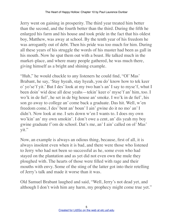Jerry went on gaining in prosperity. The third year treated him better than the second, and the fourth better than the third. During the fifth he enlarged his farm and his house and took pride in the fact that his oldest boy, Matthew, was away at school. By the tenth year of his freedom he was arrogantly out of debt. Then his pride was too much for him. During all these years of his struggle the words of his master had been as gall in his mouth. Now he spat them out with a boast. He talked much in the market–place, and where many people gathered, he was much there, giving himself as a bright and shining example.

"Huh," he would chuckle to any listeners he could find, "Ol' Mas' Brabant, he say, 'Stay hyeah, stay hyeah, you do' know how to tek keer o' yo'se'f yit.' But I des' look at my two han's an' I say to myse'f, whut I been doin' wid dese all dese yeahs—tekin' keer o' myse'f an' him, too. I wo'k in de fiel', he set in de big house an' smoke. I wo'k in de fiel', his son go away to college an' come back a graduate. Das hit. Well, w'en freedom come, I des' bent an' boun' I ain' gwine do it no mo' an' I didn't. Now look at me. I sets down w'en I wants to. I does my own wo'kin' an' my own smokin'. I don't owe a cent, an' dis yeah my boy gwine graduate f'om de school. Dat's me, an' I ain' called on ol' Mas' yit."

Now, an example is always an odious thing, because, first of all, it is always insolent even when it is bad, and there were those who listened to Jerry who had not been so successful as he, some even who had stayed on the plantation and as yet did not even own the mule they ploughed with. The hearts of those were filled with rage and their mouths with envy. Some of the sting of the latter got into their retelling of Jerry's talk and made it worse than it was.

Old Samuel Brabant laughed and said, "Well, Jerry's not dead yet, and although I don't wish him any harm, my prophecy might come true yet."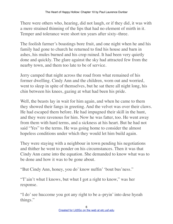There were others who, hearing, did not laugh, or if they did, it was with a mere strained thinning of the lips that had no element of mirth in it. Temper and tolerance were short ten years after sixty–three.

The foolish farmer's boastings bore fruit, and one night when he and his family had gone to church he returned to find his house and barn in ashes, his mules burned and his crop ruined. It had been very quietly done and quickly. The glare against the sky had attracted few from the nearby town, and them too late to be of service.

Jerry camped that night across the road from what remained of his former dwelling. Cindy Ann and the children, worn out and worried, went to sleep in spite of themselves, but he sat there all night long, his chin between his knees, gazing at what had been his pride.

Well, the beasts lay in wait for him again, and when he came to them they showed their fangs in greeting. And the velvet was over their claws. He had escaped them before. He had impugned their skill in the hunt, and they were ravenous for him. Now he was fatter, too. He went away from them with hard terms, and a sickness at his heart. But he had not said "Yes" to the terms. He was going home to consider the almost hopeless conditions under which they would let him build again.

They were staying with a neighbour in town pending his negotiations and thither he went to ponder on his circumstances. Then it was that Cindy Ann came into the equation. She demanded to know what was to be done and how it was to be gone about.

"But Cindy Ann, honey, you do' know nuffin' 'bout bus'ness."

"T'ain't whut I knows, but whut I got a right to know," was her response.

"I do' see huccome you got any right to be a–pryin' into dese hyeah things."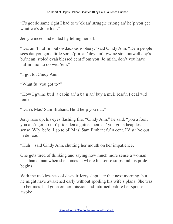"I's got de same right I had to w'ok an' struggle erlong an' he'p you get whut we's done los'."

Jerry winced and ended by telling her all.

"Dat ain't nuffin' but owdacious robbery," said Cindy Ann. "Dem people sees dat you got a little some'p'n, an' dey ain't gwine stop ontwell dey's bu'nt an' stoled evah blessed cent f'om you. Je'miah, don't you have nuffin' mo' to do wid 'em."

"I got to, Cindy Ann."

"Whut fu' you got to?"

"How I gwine buil' a cabin an' a ba'n an' buy a mule less'n I deal wid 'em?"

"Dah's Mas' Sam Brabant. He'd he'p you out."

Jerry rose up, his eyes flashing fire. "Cindy Ann," he said, "you a fool, you ain't got no mo' pride den a guinea hen, an' you got a heap less sense. W'y, befo' I go to ol' Mas' Sam Brabant fu' a cent, I'd sta've out in de road."

"Huh!" said Cindy Ann, shutting her mouth on her impatience.

One gets tired of thinking and saying how much more sense a woman has than a man when she comes in where his sense stops and his pride begins.

With the recklessness of despair Jerry slept late that next morning, but he might have awakened early without spoiling his wife's plans. She was up betimes, had gone on her mission and returned before her spouse awoke.